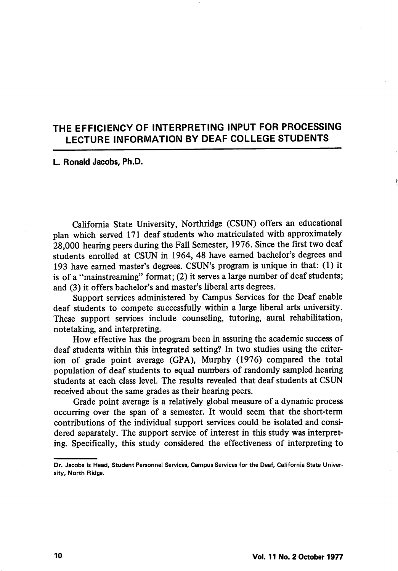## THE EFFICIENCY OF INTERPRETING INPUT FOR PROCESSING LECTURE INFORMATION BY DEAF COLLEGE STUDENTS

#### L. Ronald Jacobs, Ph.D.

California State University, Northridge (CSUN) offers an educational plan which served 171 deaf students who matriculated with approximately 28,000 hearing peers during the Fall Semester, 1976. Since the first two deaf students enrolled at CSUN in 1964, 48 have earned bachelor's degrees and 193 have earned master's degrees. CSUN's program is unique in that: (1) it is of a "mainstreaming" format; (2) it serves a large number of deaf students; and (3) it offers bachelor's and master's liberal arts degrees.

Support services administered by Campus Services for the Deaf enable deaf students to compete successfully within a large liberal arts university. These support services include counseling, tutoring, aural rehabilitation, notetaking, and interpreting.

How effective has the program been in assuring the academic success of deaf students within this integrated setting? In two studies using the criter ion of grade point average (CPA), Murphy (1976) compared the total population of deaf students to equal numbers of randomly sampled hearing students at each class level. The results revealed that deaf students at CSUN received about the same grades as their hearing peers.

Grade point average is a relatively global measure of a dynamic process occurring over the span of a semester. It would seem that the short-term contributions of the individual support services could be isolated and consi dered separately. The support service of interest in this study was interpret ing. Specifically, this study considered the effectiveness of interpreting to

Dr. Jacobs is Head, Student Personnel Services, Campus Services for the Deaf, California State Univer sity, North Ridge.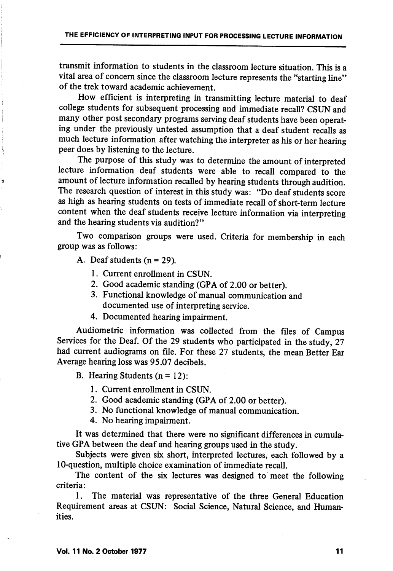transmit information to students in the classroom lecture situation. This is a vital area of concern since the classroom lecture represents the "starting line" of the trek toward academic achievement.

How efficient is interpreting in transmitting lecture material to deaf college students for subsequent processing and immediate recall? CSUN and many other post secondary programs serving deaf students have been operat ing under the previously untested assumption that a deaf student recalls as much lecture information after watching the interpreter as his or her hearing peer does by listening to the lecture.

The purpose of this study was to determine the amount of interpreted lecture information deaf students were able to recall compared to the amount of lecture information recalled by hearing students through audition. The research question of interest in this study was: "Do deaf students score as high as hearing students on tests of immediate recall of short-term lecture content when the deaf students receive lecture information via interpreting and the hearing students via audition?"

Two comparison groups were used. Criteria for membership in each group was as follows:

A. Deaf students  $(n = 29)$ .

1. Current enrollment in CSUN.

- 2. Good academic standing (CPA of 2.00 or better).
- 3. Functional knowledge of manual communication and documented use of interpreting service.
- 4. Documented hearing impairment.

Audiometric information was collected from the files of Campus Services for the Deaf. Of the 29 students who participated in the study, 27 had current audiograms on file. For these 27 students, the mean Better Ear Average hearing loss was 95.07 decibels.

B. Hearing Students  $(n = 12)$ :

- 1. Current enrollment in CSUN.
- 2. Good academic standing (GPA of 2.00 or better).
- 3. No functional knowledge of manual communication.
- 4. No hearing impairment.

It was determined that there were no significant differences in cumula tive GPA between the deaf and hearing groups used in the study.

Subjects were given six short, interpreted lectures, each followed by a 10-question, multiple choice examination of immediate recall.

The content of the six lectures was designed to meet the following criteria:

1. The material was representative of the three General Education Requirement areas at CSUN: Social Science, Natural Science, and Human ities.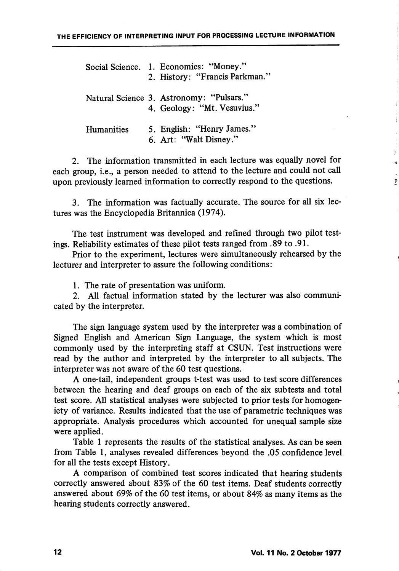|            | Social Science. 1. Economics: "Money."<br>2. History: "Francis Parkman." |
|------------|--------------------------------------------------------------------------|
|            | Natural Science 3. Astronomy: "Pulsars."<br>4. Geology: "Mt. Vesuvius."  |
| Humanities | 5. English: "Henry James."<br>6. Art: "Walt Disney."                     |

2. The information transmitted in each lecture was equally novel for each group, i.e., a person needed to attend to the lecture and could not call upon previously learned information to correctly respond to the questions.

3. The information was factually accurate. The source for all six lec tures was the Encyclopedia Britannica (1974).

The test instrument was developed and refined through two pilot test ings. Reliability estimates of these pilot tests ranged from .89 to .91.

Prior to the experiment, lectures were simultaneously rehearsed by the lecturer and interpreter to assure the following conditions:

1. The rate of presentation was uniform.

2. All factual information stated by the lecturer was also communi cated by the interpreter.

The sign language system used by the interpreter was a combination of Signed English and American Sign Language, the system which is most commonly used by the interpreting staff at CSUN. Test instructions were read by the author and interpreted by the interpreter to all subjects. The interpreter was not aware of the 60 test questions.

A one-tail, independent groups t-test was used to test score differences between the hearing and deaf groups on each of the six sub tests and total test score. All statistical analyses were subjected to prior tests for homogeniety of variance. Results indicated that the use of parametric techniques was appropriate. Analysis procedures which accounted for unequal sample size were applied.

Table 1 represents the results of the statistical analyses. As can be seen from Table 1, analyses revealed differences beyond the .05 confidence level for all the tests except History.

A comparison of combined test scores indicated that hearing students correctly answered about 83% of the 60 test items. Deaf students correctly answered about 69% of the 60 test items, or about 84% as many items as the hearing students correctly answered.

 $\tilde{\mathbf{r}}$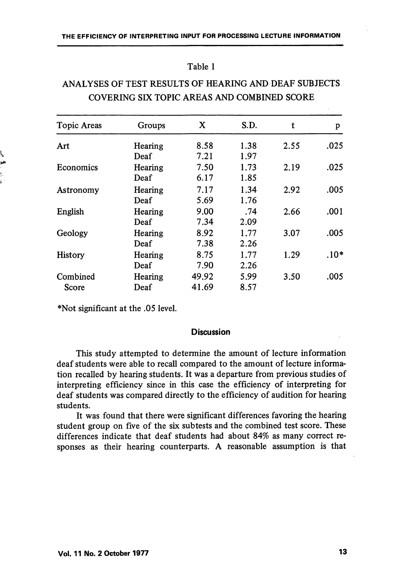### Table 1

# ANALYSES OF TEST RESULTS OF HEARING AND DEAF SUBJECTS COVERING SIX TOPIC AREAS AND COMBINED SCORE

| Topic Areas       | Groups  | X     | S.D. | t    | p      |
|-------------------|---------|-------|------|------|--------|
| Art               | Hearing | 8.58  | 1.38 | 2.55 | .025   |
|                   | Deaf    | 7.21  | 1.97 |      |        |
| Economics         | Hearing | 7.50  | 1.73 | 2.19 | .025   |
|                   | Deaf    | 6.17  | 1.85 |      |        |
| Astronomy         | Hearing | 7.17  | 1.34 | 2.92 | .005   |
|                   | Deaf    | 5.69  | 1.76 |      |        |
| English           | Hearing | 9.00  | .74  | 2.66 | .001   |
|                   | Deaf    | 7.34  | 2.09 |      |        |
| Geology           | Hearing | 8.92  | 1.77 | 3.07 | .005   |
|                   | Deaf    | 7.38  | 2.26 |      |        |
| History           | Hearing | 8.75  | 1.77 | 1.29 | $.10*$ |
|                   | Deaf    | 7.90  | 2.26 |      |        |
| Combined<br>Score | Hearing | 49.92 | 5.99 | 3.50 | .005   |
|                   | Deaf    | 41.69 | 8.57 |      |        |

\*Not significant at the .05 level.

### **Discussion**

This study attempted to determine the amount of lecture information deaf students were able to recall compared to the amount of lecture informa tion recalled by hearing students. It was a departure from previous studies of interpreting efficiency since in this case the efficiency of interpreting for deaf students was compared directly to the efficiency of audition for hearing students.

It was found that there were significant differences favoring the hearing student group on five of the six subtests and the combined test score. These differences indicate that deaf students had about 84% as many correct re sponses as their hearing counterparts. A reasonable assumption is that